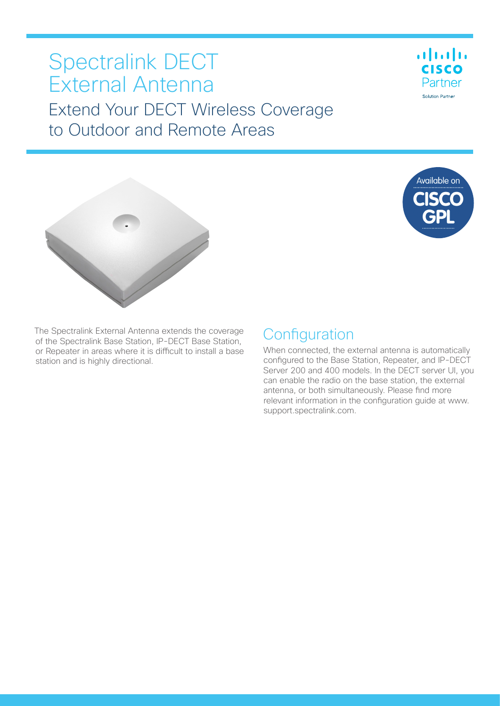# Spectralink DECT External Antenna Extend Your DECT Wireless Coverage to Outdoor and Remote Areas







The Spectralink External Antenna extends the coverage of the Spectralink Base Station, IP-DECT Base Station, or Repeater in areas where it is difficult to install a base station and is highly directional.

## **Configuration**

When connected, the external antenna is automatically configured to the Base Station, Repeater, and IP-DECT Server 200 and 400 models. In the DECT server UI, you can enable the radio on the base station, the external antenna, or both simultaneously. Please find more relevant information in the configuration guide at www. support.spectralink.com.